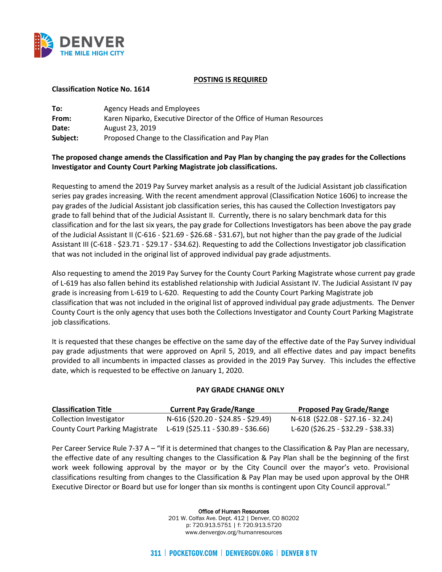

## **POSTING IS REQUIRED**

## **Classification Notice No. 1614**

| To:      | Agency Heads and Employees                                         |
|----------|--------------------------------------------------------------------|
| From:    | Karen Niparko, Executive Director of the Office of Human Resources |
| Date:    | August 23, 2019                                                    |
| Subject: | Proposed Change to the Classification and Pay Plan                 |

## **The proposed change amends the Classification and Pay Plan by changing the pay grades for the Collections Investigator and County Court Parking Magistrate job classifications.**

Requesting to amend the 2019 Pay Survey market analysis as a result of the Judicial Assistant job classification series pay grades increasing. With the recent amendment approval (Classification Notice 1606) to increase the pay grades of the Judicial Assistant job classification series, this has caused the Collection Investigators pay grade to fall behind that of the Judicial Assistant II. Currently, there is no salary benchmark data for this classification and for the last six years, the pay grade for Collections Investigators has been above the pay grade of the Judicial Assistant II (C-616 - \$21.69 - \$26.68 - \$31.67), but not higher than the pay grade of the Judicial Assistant III (C-618 - \$23.71 - \$29.17 - \$34.62). Requesting to add the Collections Investigator job classification that was not included in the original list of approved individual pay grade adjustments.

Also requesting to amend the 2019 Pay Survey for the County Court Parking Magistrate whose current pay grade of L-619 has also fallen behind its established relationship with Judicial Assistant IV. The Judicial Assistant IV pay grade is increasing from L-619 to L-620. Requesting to add the County Court Parking Magistrate job classification that was not included in the original list of approved individual pay grade adjustments. The Denver County Court is the only agency that uses both the Collections Investigator and County Court Parking Magistrate job classifications.

It is requested that these changes be effective on the same day of the effective date of the Pay Survey individual pay grade adjustments that were approved on April 5, 2019, and all effective dates and pay impact benefits provided to all incumbents in impacted classes as provided in the 2019 Pay Survey. This includes the effective date, which is requested to be effective on January 1, 2020.

## **PAY GRADE CHANGE ONLY**

| <b>Classification Title</b>            | <b>Current Pay Grade/Range</b>        | <b>Proposed Pay Grade/Range</b>     |
|----------------------------------------|---------------------------------------|-------------------------------------|
| Collection Investigator                | N-616 (\$20.20 - \$24.85 - \$29.49)   | N-618 (\$22.08 - \$27.16 - 32.24)   |
| <b>County Court Parking Magistrate</b> | $L-619$ (\$25.11 - \$30.89 - \$36.66) | L-620 (\$26.25 - \$32.29 - \$38.33) |

Per Career Service Rule 7-37 A – "If it is determined that changes to the Classification & Pay Plan are necessary, the effective date of any resulting changes to the Classification & Pay Plan shall be the beginning of the first work week following approval by the mayor or by the City Council over the mayor's veto. Provisional classifications resulting from changes to the Classification & Pay Plan may be used upon approval by the OHR Executive Director or Board but use for longer than six months is contingent upon City Council approval."

Office of Human Resources

201 W. Colfax Ave. Dept. 412 | Denver, CO 80202 p: 720.913.5751 | f: 720.913.5720 www.denvergov.org/humanresources